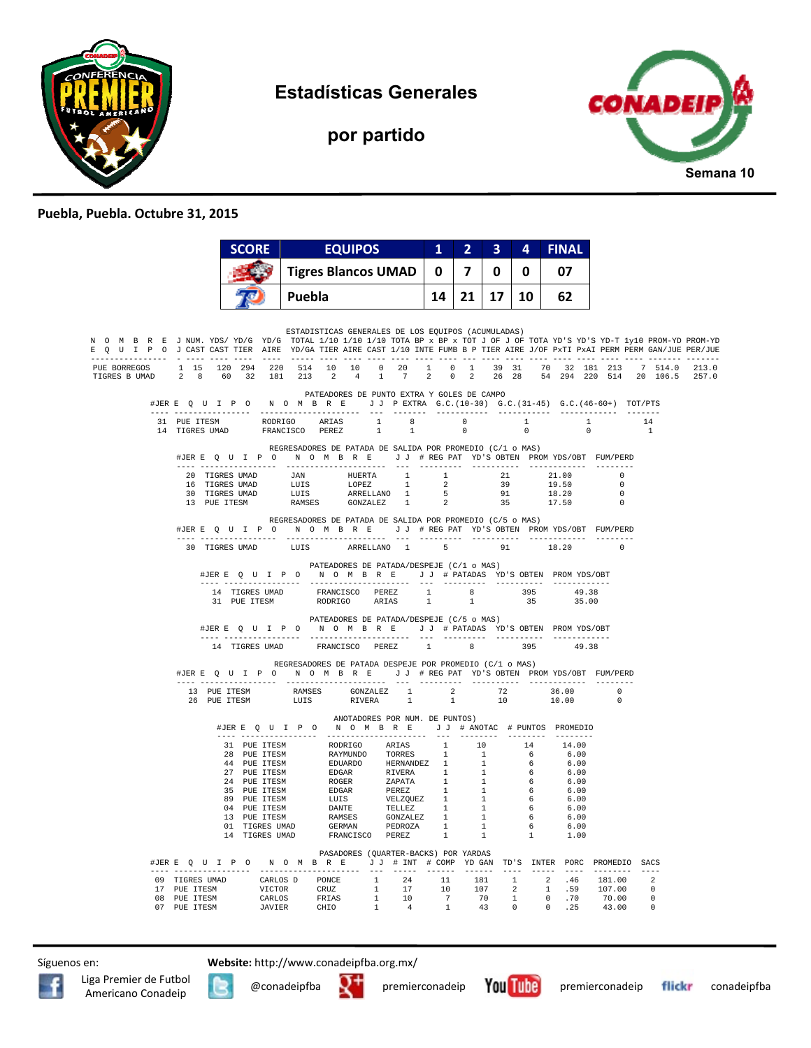

**Estadísticas Generales** 

**por partido** 



#### **Puebla, Puebla. Octubre 31, 2015**

|                                                                                                                                                                                                                                                            |  | <b>SCORE</b> |                |                            | <b>EQUIPOS</b>                                                                                                                                                                                                                                                                                                                                                                                  |  |                                | $1 \quad 2$ |   | 3 <sup>1</sup> | $\overline{4}$ | <b>FINAL</b> |                |                                                                                                |  |
|------------------------------------------------------------------------------------------------------------------------------------------------------------------------------------------------------------------------------------------------------------|--|--------------|----------------|----------------------------|-------------------------------------------------------------------------------------------------------------------------------------------------------------------------------------------------------------------------------------------------------------------------------------------------------------------------------------------------------------------------------------------------|--|--------------------------------|-------------|---|----------------|----------------|--------------|----------------|------------------------------------------------------------------------------------------------|--|
|                                                                                                                                                                                                                                                            |  |              |                | <b>Tigres Blancos UMAD</b> |                                                                                                                                                                                                                                                                                                                                                                                                 |  | $\mathbf{0}$                   | <b>7</b> L  | 0 | 0              | 07             |              |                |                                                                                                |  |
|                                                                                                                                                                                                                                                            |  |              |                | Puebla                     |                                                                                                                                                                                                                                                                                                                                                                                                 |  |                                | 14          |   | 21   17   10   |                | 62           |                |                                                                                                |  |
| N O M B R E JNUM. YDS/YD/G YD/G TOTAL 1/10 1/10 1/10 TOTA BP x BP x TOT J OF J OF TOTA YD'S YD-S YD-T 1y10 PROM-YD PROM-YD<br>E Q U I P O J CAST CAST TIER AIRE YD/GA TIER AIRE CAST 1/10 INTE FUMB B P TIER AIRE J/OF PXTI PXAI PERM PERM GAN/JUE PER/JUE |  |              |                |                            | ESTADISTICAS GENERALES DE LOS EQUIPOS (ACUMULADAS)                                                                                                                                                                                                                                                                                                                                              |  |                                |             |   |                |                |              |                |                                                                                                |  |
| PUE BORREGOS 1 15 120 294 220 514 10 10 0 20 1 0 1 39 31 70 32 181 213 7 514.0 213.0<br>TIGRES BUMAD 2 8 60 32 181 213 2 4 1 7 2 0 2 26 28 54 294 220 514 20 106.5 257.0                                                                                   |  |              |                |                            |                                                                                                                                                                                                                                                                                                                                                                                                 |  |                                |             |   |                |                |              |                |                                                                                                |  |
|                                                                                                                                                                                                                                                            |  |              |                |                            | PATEADORES DE PUNTO EXTRA Y GOLES DE CAMPO<br>#JERE Q U I P O N O M B R E J J PEXTRA G.C. (10-30) G.C. (31-45) G.C. (46-60+) TOT/PTS                                                                                                                                                                                                                                                            |  |                                |             |   |                |                |              |                |                                                                                                |  |
|                                                                                                                                                                                                                                                            |  |              |                |                            | $\begin{tabular}{lcccccc} 31 & PUE ITESM & & \text{RODRIGO} & \text{ARIAS} & & 1 & 8 & 0 & 1 & 1 \\ 14 & TIGRES UMAD & & FRANCISCO & PEREZ & & 1 & 1 & 0 & 0 & 0 \\ \end{tabular}$                                                                                                                                                                                                              |  |                                |             |   |                |                |              | $\frac{14}{1}$ | $\overline{1}$                                                                                 |  |
|                                                                                                                                                                                                                                                            |  |              |                |                            | REGRESADORES DE PATADA DE SALIDA POR PROMEDIO (C/1 o MAS)<br>#JERE QUIPO NOMBRE JJ #REGPAT YD'S OBTEN PROMYDS/OBT FUM/PERD                                                                                                                                                                                                                                                                      |  |                                |             |   |                |                |              |                |                                                                                                |  |
|                                                                                                                                                                                                                                                            |  |              |                |                            | $\begin{tabular}{cccccccc} 20 & TIGRES UMAD & JAN & HUERTA & 1 & 1 & 21 & 21.00 & 0 \\ \hline TIGRES UMAD & LUIS & LOPEZ & 1 & 2 & 39 & 19.50 & 0 \\ 30 & TIGRES UMAD & LUIS & ARPELLAND & 1 & 5 & 91 & 18.20 & 0 \\ 31 & PUE ITESM & RAMSES & GONZALEZ & 1 & 2 & 35 & 17.50 & 0 \\ \end{tabular}$                                                                                              |  |                                |             |   |                |                |              |                |                                                                                                |  |
|                                                                                                                                                                                                                                                            |  |              |                |                            | REGRESADORES DE PATADA DE SALIDA POR PROMEDIO (C/5 o MAS)<br>#JERE Q U I P O N O M B R E J J # REG PAT YD'S OBTEN PROMYDS/OBT FUM/PERD                                                                                                                                                                                                                                                          |  |                                |             |   |                |                |              |                |                                                                                                |  |
|                                                                                                                                                                                                                                                            |  |              | 30 TIGRES UMAD | LUIS                       | PATEADORES DE PATADA/DESPEJE (C/1 o MAS)                                                                                                                                                                                                                                                                                                                                                        |  | ARRELLANO 1 5                  |             |   |                | 91 18.20       |              | $\sim$ 0       |                                                                                                |  |
|                                                                                                                                                                                                                                                            |  |              |                |                            | #JERE QUIPO NOMBRE JJ # PATADAS YD'S OBTEN PROMYDS/OBT<br>PATEADORES DE PATADA/DESPEJE (C/5 o MAS)                                                                                                                                                                                                                                                                                              |  |                                |             |   |                |                |              |                |                                                                                                |  |
|                                                                                                                                                                                                                                                            |  |              |                |                            | #JERE QUIPO NOMBRE JJ # PATADAS YD'S OBTEN PROMYDS/OBT<br>14 TIGRES UMAD FRANCISCO PEREZ 1 8 395 49.38                                                                                                                                                                                                                                                                                          |  |                                |             |   |                |                |              |                |                                                                                                |  |
|                                                                                                                                                                                                                                                            |  |              |                |                            | REGRESADORES DE PATADA DESPEJE POR PROMEDIO (C/1 o MAS)<br>#JERE Q U I P O N O M B R E J J # REG PAT YD'S OBTEN PROMYDS/OBT FUM/PERD                                                                                                                                                                                                                                                            |  |                                |             |   |                |                |              |                |                                                                                                |  |
|                                                                                                                                                                                                                                                            |  |              |                |                            |                                                                                                                                                                                                                                                                                                                                                                                                 |  |                                |             |   |                |                |              |                |                                                                                                |  |
|                                                                                                                                                                                                                                                            |  |              |                |                            | #JERE Q U I P O N O M B R E J J # ANOTAC # PUNTOS PROMEDIO<br>.cc corporationalistic corporationalistic corporation accessory access                                                                                                                                                                                                                                                            |  | ANOTADORES POR NUM. DE PUNTOS) |             |   |                |                |              |                |                                                                                                |  |
|                                                                                                                                                                                                                                                            |  |              |                |                            |                                                                                                                                                                                                                                                                                                                                                                                                 |  |                                |             |   |                |                |              |                |                                                                                                |  |
|                                                                                                                                                                                                                                                            |  |              |                |                            |                                                                                                                                                                                                                                                                                                                                                                                                 |  |                                |             |   |                |                |              |                |                                                                                                |  |
|                                                                                                                                                                                                                                                            |  |              |                |                            | $\begin{tabular}{cccccccc} \textbf{1.5} & \textbf{1.5} & \textbf{1.5} & \textbf{2.5} & \textbf{3.5} & \textbf{3.5} & \textbf{4.5} & \textbf{5.5} & \textbf{5.5} & \textbf{6.5} & \textbf{6.5} \\ \textbf{2.6} & \textbf{3.7} & \textbf{1.8} & \textbf{1.8} & \textbf{1.8} & \textbf{1.8} & \textbf{1.8} & \textbf{1.8} & \textbf{1.8} & \textbf{1.8} & \textbf{1.8} \\ \textbf{3.8} & \textbf{$ |  |                                |             |   |                |                |              |                |                                                                                                |  |
|                                                                                                                                                                                                                                                            |  |              |                |                            | PASADORES (QUARTER-BACKS) POR YARDAS<br>#JERE Q U I P O N O M B R E J J # INT # COMP YD GAN TD'S INTER PORC PROMEDIO SACS                                                                                                                                                                                                                                                                       |  |                                |             |   |                |                |              |                |                                                                                                |  |
|                                                                                                                                                                                                                                                            |  |              |                |                            |                                                                                                                                                                                                                                                                                                                                                                                                 |  |                                |             |   |                |                |              |                | $\overline{\phantom{0}}$ 2<br>$\overline{\phantom{0}}$<br>$\overline{\phantom{0}}$<br>$\Omega$ |  |

Síguenos en: **Website:** http://www.conadeipfba.org.mx/





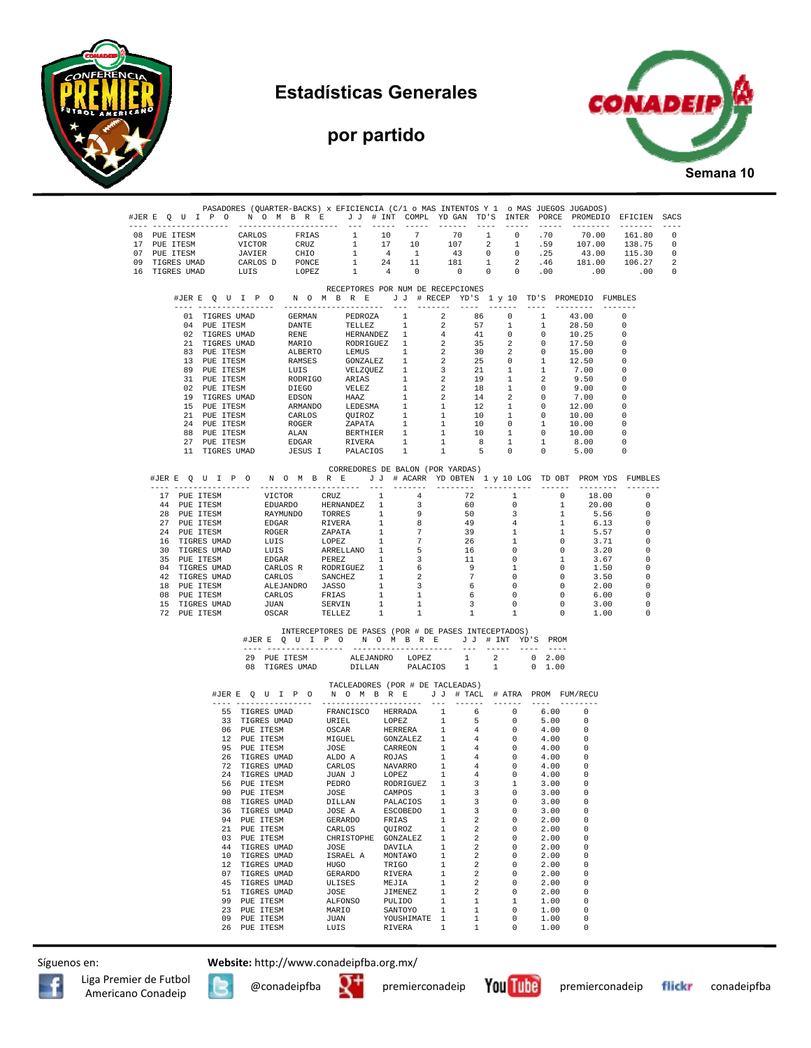

#### **Estadísticas Generales**

# **por partido**



|  |                                                                |                                                                              |                                  |             | PASADORES (QUARTER-BACKS) x EFICIENCIA (C/1 o MAS INTENTOS Y 1 o MAS JUEGOS JUGADOS)                                                                                                                                                            |                                   |                                            |                    |                              |                            |                                  |                            |                                |                                                      |                                            | #JERE Q U I P O N O M B R E J J # INT COMPL YDGAN TD'S INTER PORCE PROMEDIO EFICIEN SACS |                                                      |                                       |
|--|----------------------------------------------------------------|------------------------------------------------------------------------------|----------------------------------|-------------|-------------------------------------------------------------------------------------------------------------------------------------------------------------------------------------------------------------------------------------------------|-----------------------------------|--------------------------------------------|--------------------|------------------------------|----------------------------|----------------------------------|----------------------------|--------------------------------|------------------------------------------------------|--------------------------------------------|------------------------------------------------------------------------------------------|------------------------------------------------------|---------------------------------------|
|  | 08 PUE ITESM<br>17 PUE ITESM<br>07 PUE ITESM<br>09 TIGRES UMAD |                                                                              | CARLOS<br>VICTOR                 |             | FRIAS<br>CRUZ<br>JAVIER CHIO<br>CARLOS D PONCE                                                                                                                                                                                                  |                                   | $1 \t 10$<br>$1$ $\,$<br>1<br>$\mathbf{1}$ | 17                 | 4 1<br>24 11                 |                            |                                  |                            |                                | $0 \qquad .70$<br>.59<br>2 .46                       |                                            | 70.00 161.80<br>107.00 138.75<br>43.00 115.30<br>181.00 106.27 2                         |                                                      | $\overline{0}$<br>0<br>$\overline{0}$ |
|  | 16 TIGRES UMAD                                                 |                                                                              |                                  |             | LUIS LOPEZ                                                                                                                                                                                                                                      | RECEPTORES POR NUM DE RECEPCIONES | 1                                          | $\overline{4}$     |                              |                            | $0 \qquad 0 \qquad 0 \qquad .00$ |                            |                                |                                                      |                                            | $00$ 00. $0$                                                                             |                                                      |                                       |
|  |                                                                |                                                                              |                                  |             |                                                                                                                                                                                                                                                 |                                   |                                            |                    |                              |                            |                                  |                            |                                |                                                      |                                            | #JERE QUIPO NOMBRE JJ #RECEP YD'S 1 y 10 TD'S PROMEDIO FUMBLES                           |                                                      |                                       |
|  |                                                                | 04 PUE ITESM                                                                 |                                  |             | 01 TIGRES UMAD GERMAN PEDROZA 1 2<br>DANTE                                                                                                                                                                                                      |                                   | TELLEZ                                     |                    | 1                            | $\overline{\phantom{a}}$ 2 | 86<br>57                         |                            | $\overline{0}$<br>1            | 1<br>1                                               |                                            | 43.00<br>28.50                                                                           | $\Omega$<br>$\cap$                                   |                                       |
|  |                                                                | 02 TIGRES UMAD                                                               |                                  |             | <b>RENE</b>                                                                                                                                                                                                                                     |                                   | HERNANDEZ 1                                |                    |                              | 4 <sup>1</sup>             | 41                               |                            | $\overline{0}$                 | $\Omega$                                             |                                            | 10.25                                                                                    | $\overline{0}$                                       |                                       |
|  |                                                                | 21 TIGRES UMAD                                                               |                                  |             | RENE HERNANDEZ 1 4 41<br>MARTO RORNGUEZ 1 2 35<br>ALBERTO LEMUS 1 2 36<br>RAMSES GONZALEZ 1 2 25<br>LUIS VELIZQUEZ 1 3 21<br>RODRIGO ARIAS 1 2 19<br>DIEGO RELEZ 1 2 18<br>EDSON HAAZ 1 2 14<br>ARMANDO LEDESMA 1 2 14<br>ARMANDO LEDESMA 1 1 1 |                                   |                                            |                    |                              |                            |                                  | $\overline{\phantom{0}}$ 2 | $\overline{\phantom{0}}$ 2     | $\overline{0}$<br>$\overline{0}$                     |                                            | 17.50<br>15.00                                                                           | $\overline{\phantom{0}}$<br>$\overline{\phantom{0}}$ |                                       |
|  |                                                                | 83 PUE ITESM<br>13 PUE ITESM<br>89 PUE ITESM<br>31 PUE ITESM<br>02 PUE ITESM |                                  |             |                                                                                                                                                                                                                                                 |                                   |                                            |                    |                              |                            |                                  |                            | $\overline{0}$                 | $\mathbf{1}$                                         |                                            | 12.50                                                                                    | $\overline{\phantom{0}}$                             |                                       |
|  |                                                                |                                                                              |                                  |             |                                                                                                                                                                                                                                                 |                                   |                                            |                    |                              |                            |                                  |                            | $\mathbf{1}$                   | $\mathbf{1}$                                         |                                            | 7.00                                                                                     | $\Omega$                                             |                                       |
|  |                                                                |                                                                              |                                  |             |                                                                                                                                                                                                                                                 |                                   |                                            |                    |                              |                            |                                  |                            | 1                              | $\overline{2}$                                       |                                            | 9.50                                                                                     | $\overline{\phantom{0}}$<br>$\overline{\phantom{0}}$ |                                       |
|  |                                                                | 02 PUE ITESM<br>19 TIGRES UMAD                                               |                                  |             |                                                                                                                                                                                                                                                 |                                   |                                            |                    |                              |                            |                                  |                            | $\mathbf{1}$<br>$\overline{2}$ | $\overline{\phantom{0}}$<br>$\overline{\phantom{0}}$ |                                            | 9.00<br>7.00                                                                             | $\overline{\phantom{0}}$                             |                                       |
|  |                                                                | 15 PUE ITESM                                                                 |                                  |             |                                                                                                                                                                                                                                                 |                                   |                                            |                    |                              |                            |                                  |                            | $\overline{1}$                 | $\overline{0}$                                       |                                            | 12.00                                                                                    | $\overline{0}$                                       |                                       |
|  |                                                                | 21 PUE ITESM                                                                 |                                  |             | $\begin{tabular}{lcccc} ARMANDO & LEDESMA & 1 & 1 \\ CARLOS & QUIROZ & 1 & 1 & 10 \\ ROGER & ZAPATA & 1 & 1 & 10 \\ \hline $\kappa^{\intercal\mathtt{A}M}$ & BERTHIER & 1 & 1 & 10 \\ \end{tabular}$                                            |                                   |                                            |                    |                              |                            |                                  |                            | $\mathbf{1}$                   | $\overline{0}$                                       |                                            | 10.00                                                                                    | $\overline{\phantom{0}}$                             |                                       |
|  |                                                                | 24 PUE ITESM<br>88 PUE ITESM                                                 |                                  |             |                                                                                                                                                                                                                                                 |                                   |                                            |                    |                              |                            |                                  |                            | $\overline{0}$<br>1            | $\mathbf{1}$<br>$\overline{\phantom{0}}$             |                                            | 10.00<br>10.00                                                                           | $\overline{\phantom{0}}$<br>$\overline{\phantom{0}}$ |                                       |
|  |                                                                | 27 PUE ITESM                                                                 |                                  |             | ${\tt EDGAR}$                                                                                                                                                                                                                                   |                                   | RIVERA                                     |                    | 1                            | 1                          | 8 <sup>1</sup>                   |                            | 1                              | $\mathbf{1}$                                         |                                            | 8.00                                                                                     | - 0                                                  |                                       |
|  |                                                                | 11 TIGRES UMAD                                                               |                                  |             | JESUS I PALACIOS 1 1 5 0 0                                                                                                                                                                                                                      |                                   |                                            |                    |                              |                            |                                  |                            |                                |                                                      |                                            | 5.00                                                                                     | $\overline{0}$                                       |                                       |
|  |                                                                |                                                                              |                                  |             |                                                                                                                                                                                                                                                 |                                   |                                            |                    |                              |                            | CORREDORES DE BALON (POR YARDAS) |                            |                                |                                                      |                                            | #JERE QUIPO NOMBRE JJ # ACARR YDOBTEN 1 y 10 LOG TDOBT PROMYDS FUMBLES                   |                                                      |                                       |
|  |                                                                |                                                                              |                                  |             |                                                                                                                                                                                                                                                 |                                   |                                            |                    |                              |                            | $\frac{72}{10}$                  |                            | $\sim$ $-1$                    |                                                      |                                            | $0 \t 18.00$                                                                             | $\Omega$                                             |                                       |
|  |                                                                |                                                                              |                                  |             | 17 PUE ITESM VICTOR CRUZ 1 4<br>44 PUE ITESM EDUARDO HERNANDEZ 1 3<br>5 PUE ITESM DULLER DO HERNANDEZ 1 3                                                                                                                                       |                                   |                                            |                    |                              |                            | 60                               |                            | $\sim$ 0                       |                                                      | 1                                          | 20.00                                                                                    | $\Omega$                                             |                                       |
|  |                                                                | 28 PUE ITESM                                                                 |                                  |             | RAYMUNDO TORRES 1<br>EDGAR RIVERA 1<br>ROGER ZAPATA 1                                                                                                                                                                                           |                                   |                                            |                    | 9                            |                            | 50                               |                            | $\overline{\mathbf{3}}$        |                                                      | 1                                          | $5.56$<br>$6.13$                                                                         | 0                                                    |                                       |
|  |                                                                | 27 PUE ITESM<br>24 PUE ITESM                                                 |                                  |             |                                                                                                                                                                                                                                                 |                                   |                                            |                    | $\overline{\mathbf{8}}$<br>7 |                            | 49<br>39                         |                            | $4 -$<br>$\mathbf{1}$          |                                                      | 1<br>$\mathbf{1}$                          | 5.57                                                                                     | $\overline{\phantom{0}}$<br>$\overline{\phantom{0}}$ |                                       |
|  |                                                                | 16 TIGRES UMAD                                                               |                                  |             | NUMBER 2002<br>LUIS LOPEZ 1 7<br>LUIS ARRELLANO 1 5<br>EDGAR PEREZ 1 3<br>CARLOS RODRIGUEZ 1 6<br>2 11 1 2                                                                                                                                      |                                   |                                            |                    | $7\overline{ }$              |                            | 26                               |                            | 1                              |                                                      |                                            | 3.71                                                                                     | $\Omega$                                             |                                       |
|  |                                                                | 30 TIGRES UMAD                                                               |                                  |             |                                                                                                                                                                                                                                                 |                                   |                                            |                    |                              |                            | 16                               |                            | $\overline{0}$                 | $\begin{matrix}0\\0\\1\\1\end{matrix}$               |                                            | $3.20$<br>$3.67$                                                                         | 0                                                    |                                       |
|  |                                                                | 35 PUE ITESM                                                                 |                                  |             |                                                                                                                                                                                                                                                 |                                   |                                            |                    | $\overline{\mathbf{3}}$      |                            | 11                               |                            | $\overline{0}$                 |                                                      |                                            |                                                                                          | $\Omega$                                             |                                       |
|  |                                                                | 04 TIGRES UMAD<br>42 TIGRES UMAD                                             |                                  |             |                                                                                                                                                                                                                                                 |                                   |                                            |                    | 6 <sup>6</sup><br>$\sim$ 2   |                            | 9<br>$7\overline{ }$             |                            | $\mathbf{1}$<br>$\sim$ 0       |                                                      | $\overline{\phantom{0}}$<br>$\overline{0}$ | 1.50<br>3.50                                                                             | 0<br>$\Omega$                                        |                                       |
|  |                                                                | 18 PUE ITESM                                                                 |                                  |             | CARLOS SANCHEZ 1<br>ALEJANDRO JASSO 1                                                                                                                                                                                                           |                                   |                                            | $\frac{1}{1}$      | $\overline{\mathbf{3}}$      |                            | $6\overline{6}$                  |                            | $\overline{0}$                 |                                                      | $\overline{\phantom{0}}$                   | 2.00                                                                                     | 0                                                    |                                       |
|  |                                                                | 08 PUE ITESM                                                                 |                                  |             | CARLOS FRIAS                                                                                                                                                                                                                                    |                                   |                                            | 1                  | $\mathbf{1}$                 |                            | 6 <sup>6</sup>                   |                            | $\overline{0}$                 |                                                      | $\begin{matrix}0\\0\end{matrix}$           | 6.00                                                                                     | $\overline{\phantom{0}}$                             |                                       |
|  |                                                                | 15 TIGRES UMAD                                                               |                                  | JUAN        |                                                                                                                                                                                                                                                 | SERVIN                            |                                            | 1                  | 1                            |                            | $\overline{\mathbf{3}}$          |                            | $\sim$ 0                       |                                                      |                                            | 3.00                                                                                     | 0                                                    |                                       |
|  |                                                                | 72 PUE ITESM                                                                 |                                  | OSCAR       |                                                                                                                                                                                                                                                 | TELLEZ                            |                                            | 1                  | 1                            |                            | 1                                |                            | 1                              |                                                      | $\overline{0}$                             | 1.00                                                                                     | 0                                                    |                                       |
|  |                                                                |                                                                              |                                  |             | INTERCEPTORES DE PASES (POR # DE PASES INTECEPTADOS)                                                                                                                                                                                            |                                   |                                            |                    |                              |                            |                                  |                            |                                |                                                      |                                            |                                                                                          |                                                      |                                       |
|  |                                                                |                                                                              |                                  |             | #JERE OUIPO NOMBRE JJ # INT YD'S PROM                                                                                                                                                                                                           |                                   |                                            |                    |                              |                            |                                  |                            |                                |                                                      |                                            |                                                                                          |                                                      |                                       |
|  |                                                                |                                                                              |                                  |             | 29 PUE ITESM ALEJANDRO LOPEZ 1                                                                                                                                                                                                                  |                                   |                                            |                    |                              |                            |                                  | $\overline{\mathbf{2}}$    |                                | $0\quad 2.00$                                        |                                            |                                                                                          |                                                      |                                       |
|  |                                                                |                                                                              |                                  |             | 08 TIGRES UMAD                                                                                                                                                                                                                                  |                                   | DILLAN PALACIOS 1                          |                    |                              |                            |                                  | $\mathbf{1}$               |                                | $0\quad 1.00$                                        |                                            |                                                                                          |                                                      |                                       |
|  |                                                                |                                                                              |                                  |             | #JERE QUIPO NOMBRE JJ # TACL # ATRA PROM FUM/RECU                                                                                                                                                                                               |                                   | TACLEADORES (POR # DE TACLEADAS)           |                    |                              |                            |                                  |                            |                                |                                                      |                                            |                                                                                          |                                                      |                                       |
|  |                                                                |                                                                              |                                  |             |                                                                                                                                                                                                                                                 |                                   |                                            |                    |                              |                            |                                  |                            |                                | 6.00 0                                               |                                            |                                                                                          |                                                      |                                       |
|  |                                                                |                                                                              |                                  |             |                                                                                                                                                                                                                                                 |                                   |                                            |                    |                              |                            |                                  |                            |                                | 5.00                                                 |                                            | 0                                                                                        |                                                      |                                       |
|  |                                                                |                                                                              |                                  |             |                                                                                                                                                                                                                                                 |                                   |                                            |                    |                              |                            |                                  |                            | $\overline{0}$                 | 4.00                                                 |                                            | $\Omega$                                                                                 |                                                      |                                       |
|  |                                                                |                                                                              |                                  |             |                                                                                                                                                                                                                                                 |                                   |                                            |                    |                              |                            |                                  |                            |                                | 4.00<br>4.00                                         |                                            | $\Omega$<br>- 0                                                                          |                                                      |                                       |
|  |                                                                |                                                                              |                                  |             |                                                                                                                                                                                                                                                 |                                   |                                            |                    |                              |                            |                                  |                            |                                | 4.00                                                 |                                            | $\Omega$                                                                                 |                                                      |                                       |
|  |                                                                |                                                                              |                                  |             |                                                                                                                                                                                                                                                 |                                   |                                            |                    |                              |                            |                                  |                            | $\sim$ 0                       | 4.00                                                 |                                            | $\Omega$                                                                                 |                                                      |                                       |
|  |                                                                |                                                                              |                                  |             |                                                                                                                                                                                                                                                 |                                   |                                            |                    |                              |                            |                                  |                            |                                | $0 \t 4.00$                                          |                                            | $\Omega$                                                                                 |                                                      |                                       |
|  |                                                                |                                                                              | 90 PUE ITESM                     |             |                                                                                                                                                                                                                                                 | JOSE                              |                                            | CAMPOS             |                              | 1                          | 3                                |                            | 0                              | 3.00<br>3.00                                         |                                            | 0<br>0                                                                                   |                                                      |                                       |
|  |                                                                |                                                                              | 08 TIGRES UMAD                   |             |                                                                                                                                                                                                                                                 | DILLAN                            |                                            | PALACIOS           |                              | 1                          | 3                                |                            | $\Omega$                       | 3.00                                                 |                                            | 0                                                                                        |                                                      |                                       |
|  |                                                                |                                                                              | 36 TIGRES UMAD                   |             |                                                                                                                                                                                                                                                 | JOSE A                            |                                            | <b>ESCOBEDO</b>    |                              | 1                          | 3                                |                            | 0                              | 3.00                                                 |                                            | 0                                                                                        |                                                      |                                       |
|  |                                                                |                                                                              | 94 PUE ITESM                     |             |                                                                                                                                                                                                                                                 | GERARDO                           |                                            | FRIAS              |                              | 1                          | 2                                |                            | 0                              | 2.00                                                 |                                            | 0                                                                                        |                                                      |                                       |
|  |                                                                |                                                                              | 21 PUE ITESM<br>03 PUE ITESM     |             |                                                                                                                                                                                                                                                 | CARLOS<br>CHRISTOPHE              |                                            | QUIROZ<br>GONZALEZ |                              | $\mathbf{1}$<br>1          | 2<br>2                           |                            | 0<br>0                         | 2.00<br>2.00                                         |                                            | 0<br>0                                                                                   |                                                      |                                       |
|  |                                                                |                                                                              | 44                               | TIGRES UMAD |                                                                                                                                                                                                                                                 | JOSE                              |                                            | DAVILA             |                              | $\mathbf{1}$               | 2                                |                            | $\Omega$                       | 2.00                                                 |                                            | 0                                                                                        |                                                      |                                       |
|  |                                                                | 10                                                                           |                                  | TIGRES UMAD |                                                                                                                                                                                                                                                 | ISRAEL A                          |                                            | MONTA¥O            |                              | 1                          | 2                                |                            | 0                              | 2.00                                                 |                                            | 0                                                                                        |                                                      |                                       |
|  |                                                                |                                                                              | 12 TIGRES UMAD                   |             |                                                                                                                                                                                                                                                 | HUGO                              |                                            | TRIGO              |                              | $\mathbf{1}$               | 2                                |                            | 0                              | 2.00                                                 |                                            | $\mathbf 0$                                                                              |                                                      |                                       |
|  |                                                                |                                                                              | 07 TIGRES UMAD<br>45 TIGRES UMAD |             |                                                                                                                                                                                                                                                 | GERARDO                           |                                            | RIVERA             |                              | 1<br>1                     | 2<br>2                           |                            | 0<br>0                         | 2.00<br>2.00                                         |                                            | 0<br>0                                                                                   |                                                      |                                       |
|  |                                                                |                                                                              | 51                               | TIGRES UMAD |                                                                                                                                                                                                                                                 | ULISES<br>JOSE                    |                                            | MEJIA<br>JIMENEZ   |                              | 1                          | 2                                |                            | 0                              | 2.00                                                 |                                            | 0                                                                                        |                                                      |                                       |
|  |                                                                |                                                                              | 99 PUE ITESM                     |             |                                                                                                                                                                                                                                                 | ALFONSO                           |                                            | PULIDO             |                              | 1                          | 1                                |                            | 1                              | 1.00                                                 |                                            | $\Omega$                                                                                 |                                                      |                                       |
|  |                                                                |                                                                              | 23                               | PUE ITESM   |                                                                                                                                                                                                                                                 | MARIO                             |                                            | SANTOYO            |                              | 1                          | $\mathbf{1}$                     |                            | 0                              | 1.00                                                 |                                            | 0                                                                                        |                                                      |                                       |
|  |                                                                |                                                                              | 09<br>26 PUE ITESM               | PUE ITESM   |                                                                                                                                                                                                                                                 | JUAN<br>LUIS                      |                                            | RIVERA             | YOUSHIMATE                   | 1<br>1                     | 1<br>$\mathbf{1}$                |                            | 0<br>0                         | 1.00<br>1.00                                         |                                            | 0<br>0                                                                                   |                                                      |                                       |
|  |                                                                |                                                                              |                                  |             |                                                                                                                                                                                                                                                 |                                   |                                            |                    |                              |                            |                                  |                            |                                |                                                      |                                            |                                                                                          |                                                      |                                       |

Síguenos en: **Website:** http://www.conadeipfba.org.mx/